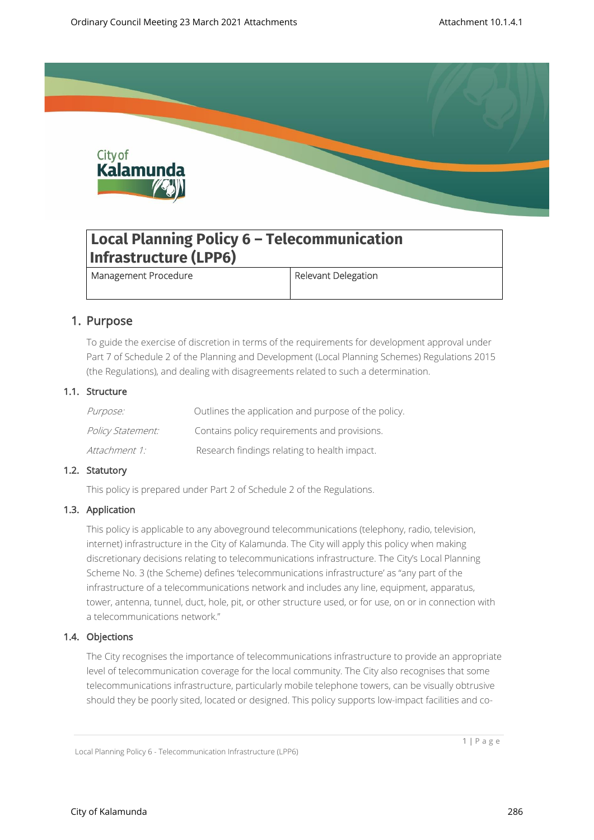

# **Local Planning Policy 6 – Telecommunication Infrastructure (LPP6)**

Management Procedure **Relevant Delegation** 

# 1. Purpose

To guide the exercise of discretion in terms of the requirements for development approval under Part 7 of Schedule 2 of the Planning and Development (Local Planning Schemes) Regulations 2015 (the Regulations), and dealing with disagreements related to such a determination.

### 1.1. Structure

| <i>Purpose:</i>          | Outlines the application and purpose of the policy. |
|--------------------------|-----------------------------------------------------|
| <i>Policy Statement:</i> | Contains policy requirements and provisions.        |
| Attachment 1:            | Research findings relating to health impact.        |

## 1.2. Statutory

This policy is prepared under Part 2 of Schedule 2 of the Regulations.

### 1.3. Application

This policy is applicable to any aboveground telecommunications (telephony, radio, television, internet) infrastructure in the City of Kalamunda. The City will apply this policy when making discretionary decisions relating to telecommunications infrastructure. The City's Local Planning Scheme No. 3 (the Scheme) defines 'telecommunications infrastructure' as "any part of the infrastructure of a telecommunications network and includes any line, equipment, apparatus, tower, antenna, tunnel, duct, hole, pit, or other structure used, or for use, on or in connection with a telecommunications network."

### 1.4. Objections

The City recognises the importance of telecommunications infrastructure to provide an appropriate level of telecommunication coverage for the local community. The City also recognises that some telecommunications infrastructure, particularly mobile telephone towers, can be visually obtrusive should they be poorly sited, located or designed. This policy supports low-impact facilities and co-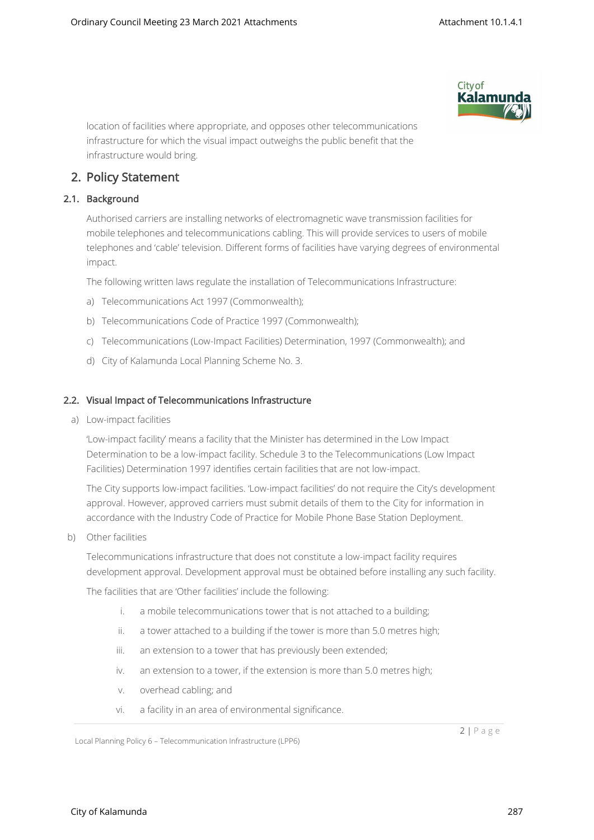

location of facilities where appropriate, and opposes other telecommunications infrastructure for which the visual impact outweighs the public benefit that the infrastructure would bring.

# 2. Policy Statement

### 2.1. Background

Authorised carriers are installing networks of electromagnetic wave transmission facilities for mobile telephones and telecommunications cabling. This will provide services to users of mobile telephones and 'cable' television. Different forms of facilities have varying degrees of environmental impact.

The following written laws regulate the installation of Telecommunications Infrastructure:

- a) Telecommunications Act 1997 (Commonwealth);
- b) Telecommunications Code of Practice 1997 (Commonwealth);
- c) Telecommunications (Low-Impact Facilities) Determination, 1997 (Commonwealth); and
- d) City of Kalamunda Local Planning Scheme No. 3.

#### 2.2. Visual Impact of Telecommunications Infrastructure

a) Low-impact facilities

'Low-impact facility' means a facility that the Minister has determined in the Low Impact Determination to be a low-impact facility. Schedule 3 to the Telecommunications (Low Impact Facilities) Determination 1997 identifies certain facilities that are not low-impact.

The City supports low-impact facilities. 'Low-impact facilities' do not require the City's development approval. However, approved carriers must submit details of them to the City for information in accordance with the Industry Code of Practice for Mobile Phone Base Station Deployment.

b) Other facilities

Telecommunications infrastructure that does not constitute a low-impact facility requires development approval. Development approval must be obtained before installing any such facility.

The facilities that are 'Other facilities' include the following:

- i. a mobile telecommunications tower that is not attached to a building;
- ii. a tower attached to a building if the tower is more than 5.0 metres high;
- iii. an extension to a tower that has previously been extended:
- iv. an extension to a tower, if the extension is more than 5.0 metres high;
- v. overhead cabling; and
- vi. a facility in an area of environmental significance.

Local Planning Policy 6 – Telecommunication Infrastructure (LPP6)

2 | P a g e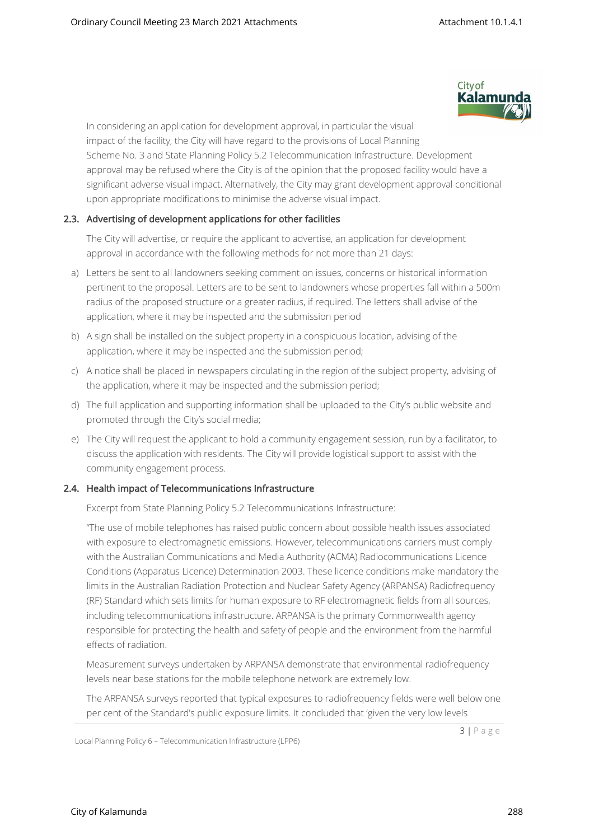

In considering an application for development approval, in particular the visual impact of the facility, the City will have regard to the provisions of Local Planning Scheme No. 3 and State Planning Policy 5.2 Telecommunication Infrastructure. Development approval may be refused where the City is of the opinion that the proposed facility would have a significant adverse visual impact. Alternatively, the City may grant development approval conditional upon appropriate modifications to minimise the adverse visual impact.

### 2.3. Advertising of development applications for other facilities

The City will advertise, or require the applicant to advertise, an application for development approval in accordance with the following methods for not more than 21 days:

- a) Letters be sent to all landowners seeking comment on issues, concerns or historical information pertinent to the proposal. Letters are to be sent to landowners whose properties fall within a 500m radius of the proposed structure or a greater radius, if required. The letters shall advise of the application, where it may be inspected and the submission period
- b) A sign shall be installed on the subject property in a conspicuous location, advising of the application, where it may be inspected and the submission period;
- c) A notice shall be placed in newspapers circulating in the region of the subject property, advising of the application, where it may be inspected and the submission period;
- d) The full application and supporting information shall be uploaded to the City's public website and promoted through the City's social media;
- e) The City will request the applicant to hold a community engagement session, run by a facilitator, to discuss the application with residents. The City will provide logistical support to assist with the community engagement process.

#### 2.4. Health impact of Telecommunications Infrastructure

Excerpt from State Planning Policy 5.2 Telecommunications Infrastructure:

"The use of mobile telephones has raised public concern about possible health issues associated with exposure to electromagnetic emissions. However, telecommunications carriers must comply with the Australian Communications and Media Authority (ACMA) Radiocommunications Licence Conditions (Apparatus Licence) Determination 2003. These licence conditions make mandatory the limits in the Australian Radiation Protection and Nuclear Safety Agency (ARPANSA) Radiofrequency (RF) Standard which sets limits for human exposure to RF electromagnetic fields from all sources, including telecommunications infrastructure. ARPANSA is the primary Commonwealth agency responsible for protecting the health and safety of people and the environment from the harmful effects of radiation.

Measurement surveys undertaken by ARPANSA demonstrate that environmental radiofrequency levels near base stations for the mobile telephone network are extremely low.

The ARPANSA surveys reported that typical exposures to radiofrequency fields were well below one per cent of the Standard's public exposure limits. It concluded that 'given the very low levels

Local Planning Policy 6 – Telecommunication Infrastructure (LPP6)

3 | P a g e